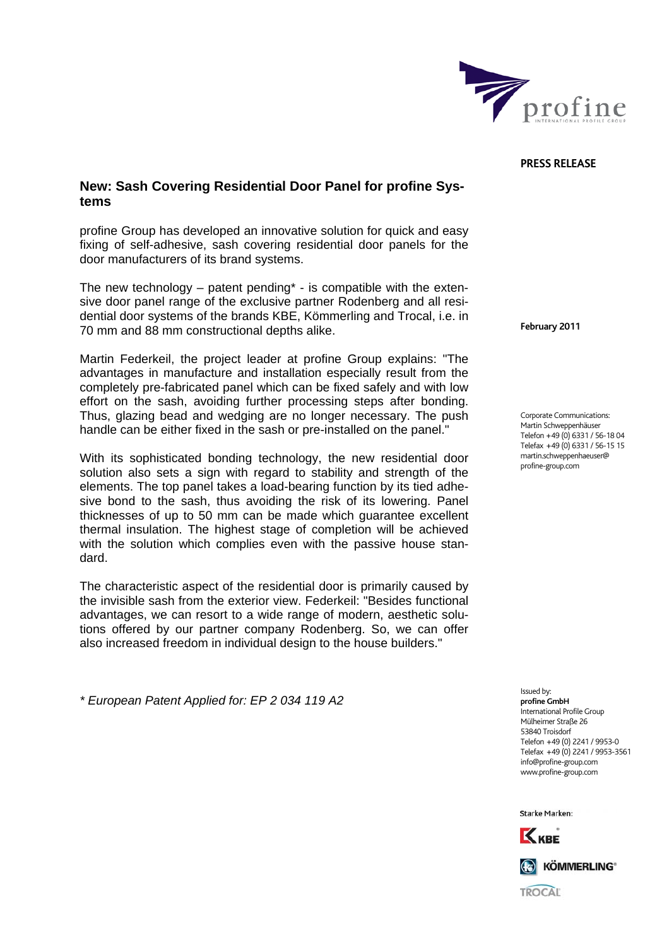

## **PRESS RELEASE**

## **New: Sash Covering Residential Door Panel for profine Systems**

profine Group has developed an innovative solution for quick and easy fixing of self-adhesive, sash covering residential door panels for the door manufacturers of its brand systems.

The new technology  $-$  patent pending\*  $-$  is compatible with the extensive door panel range of the exclusive partner Rodenberg and all residential door systems of the brands KBE, Kömmerling and Trocal, i.e. in 70 mm and 88 mm constructional depths alike.

Martin Federkeil, the project leader at profine Group explains: "The advantages in manufacture and installation especially result from the completely pre-fabricated panel which can be fixed safely and with low effort on the sash, avoiding further processing steps after bonding. Thus, glazing bead and wedging are no longer necessary. The push handle can be either fixed in the sash or pre-installed on the panel."

With its sophisticated bonding technology, the new residential door solution also sets a sign with regard to stability and strength of the elements. The top panel takes a load-bearing function by its tied adhesive bond to the sash, thus avoiding the risk of its lowering. Panel thicknesses of up to 50 mm can be made which guarantee excellent thermal insulation. The highest stage of completion will be achieved with the solution which complies even with the passive house standard.

The characteristic aspect of the residential door is primarily caused by the invisible sash from the exterior view. Federkeil: "Besides functional advantages, we can resort to a wide range of modern, aesthetic solutions offered by our partner company Rodenberg. So, we can offer also increased freedom in individual design to the house builders."

*\* European Patent Applied for: EP 2 034 119 A2* 

**February 2011** 

Corporate Communications: Martin Schweppenhäuser Telefon +49 (0) 6331 / 56-18 04 Telefax +49 (0) 6331 / 56-15 15 martin.schweppenhaeuser@ profine-group.com

Issued by: **profine GmbH**  .<br>International Profile Group Mülheimer Straße 26 53840 Troisdorf Telefon +49 (0) 2241 / 9953-0 Telefax +49 (0) 2241 / 9953-3561 info@profine-group.com www.profine-group.com

**Starke Marken:**